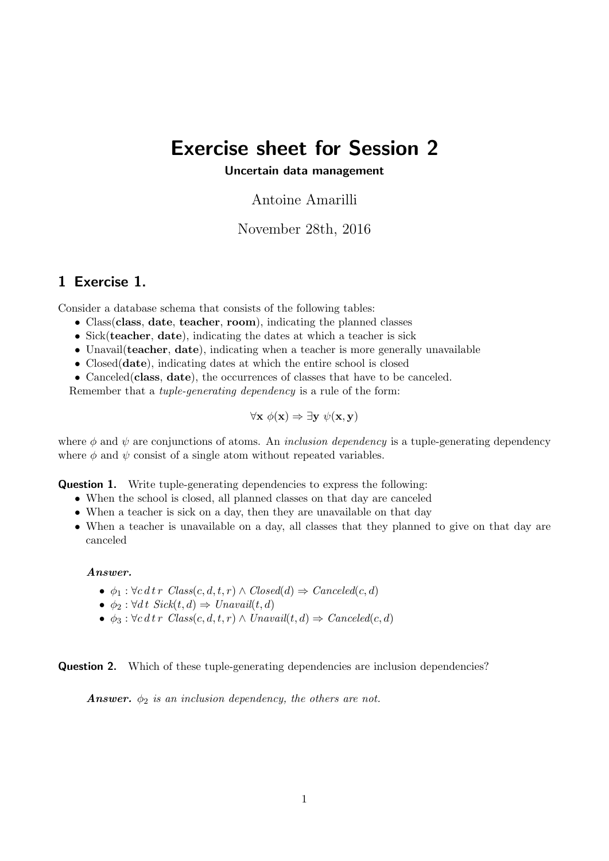# Exercise sheet for Session 2

### Uncertain data management

Antoine Amarilli

November 28th, 2016

## 1 Exercise 1.

Consider a database schema that consists of the following tables:

- Class(class, date, teacher, room), indicating the planned classes
- Sick(teacher, date), indicating the dates at which a teacher is sick
- Unavail (teacher, date), indicating when a teacher is more generally unavailable
- Closed(date), indicating dates at which the entire school is closed
- Canceled(class, date), the occurrences of classes that have to be canceled.

Remember that a tuple-generating dependency is a rule of the form:

$$
\forall \mathbf{x} \; \phi(\mathbf{x}) \Rightarrow \exists \mathbf{y} \; \psi(\mathbf{x}, \mathbf{y})
$$

where  $\phi$  and  $\psi$  are conjunctions of atoms. An *inclusion dependency* is a tuple-generating dependency where  $\phi$  and  $\psi$  consist of a single atom without repeated variables.

**Question 1.** Write tuple-generating dependencies to express the following:

- When the school is closed, all planned classes on that day are canceled
- When a teacher is sick on a day, then they are unavailable on that day
- When a teacher is unavailable on a day, all classes that they planned to give on that day are canceled

#### Answer.

- $\phi_1 : \forall c \, d \, tr \; Class(c, d, t, r) \wedge Closed(d) \Rightarrow Cancel(c, d)$
- $\phi_2$ :  $\forall dt \; Sick(t, d) \Rightarrow Unavail(t, d)$
- $\phi_3 : \forall c \, d \, tr \; Class(c, d, t, r) \wedge Unavail(t, d) \Rightarrow \text{Cancel}(c, d)$

**Question 2.** Which of these tuple-generating dependencies are inclusion dependencies?

**Answer.**  $\phi_2$  is an inclusion dependency, the others are not.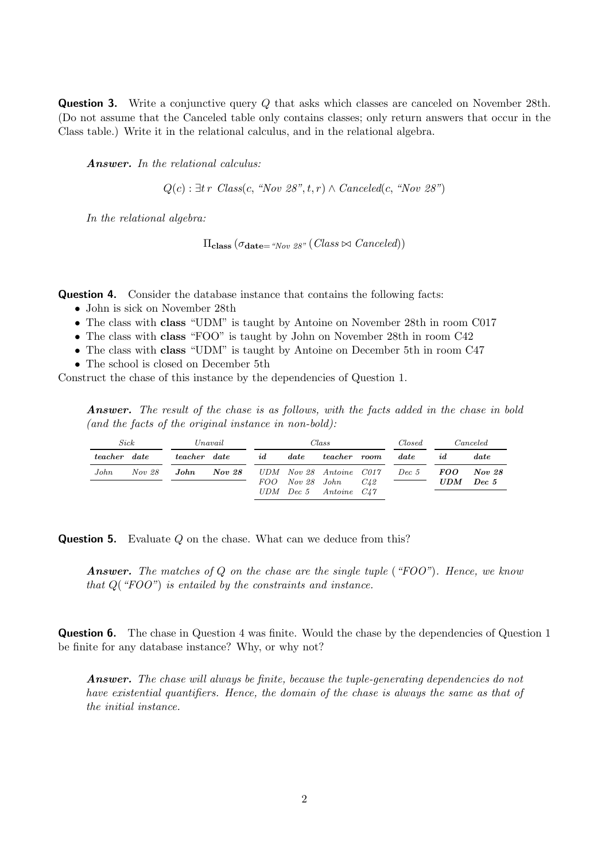**Question 3.** Write a conjunctive query Q that asks which classes are canceled on November 28th. (Do not assume that the Canceled table only contains classes; only return answers that occur in the Class table.) Write it in the relational calculus, and in the relational algebra.

Answer. In the relational calculus:

 $Q(c)$ :  $\exists tr \; Class(c, \text{``Nov 28''}, t, r) \wedge Canceled(c, \text{``Nov 28''})$ 

In the relational algebra:

 $\Pi_{\text{class}}(\sigma_{\text{date}= \text{``Now 28''}}(Class \bowtie Canceled))$ 

Question 4. Consider the database instance that contains the following facts:

- John is sick on November 28th
- The class with **class** "UDM" is taught by Antoine on November 28th in room C017
- The class with class "FOO" is taught by John on November 28th in room C42
- The class with class "UDM" is taught by Antoine on December 5th in room C47
- The school is closed on December 5th

Construct the chase of this instance by the dependencies of Question 1.

Answer. The result of the chase is as follows, with the facts added in the chase in bold (and the facts of the original instance in non-bold):

| Sick                |        | Unavail             |                                       | Class      |               |                                          |          | Closed   | <i>Canceled</i> |        |
|---------------------|--------|---------------------|---------------------------------------|------------|---------------|------------------------------------------|----------|----------|-----------------|--------|
| <i>teacher</i> date |        | <i>teacher</i> date |                                       | id         | $\emph{date}$ | teacher                                  | room     | date     | id.             | date.  |
| John                | Nov 28 | John                | <b>Nov 28</b> UDM Nov 28 Antoine C017 |            |               |                                          |          | $Dec\ 5$ | <i>FOO</i>      | Nov 28 |
|                     |        |                     |                                       | <i>FOO</i> |               | Nov 28 John<br>$UDM$ Dec 5 Antoine $C47$ | $C_{42}$ |          | <b>UDM</b>      | Dec 5  |

**Question 5.** Evaluate Q on the chase. What can we deduce from this?

**Answer.** The matches of Q on the chase are the single tuple ("FOO"). Hence, we know that  $Q("FOO")$  is entailed by the constraints and instance.

**Question 6.** The chase in Question 4 was finite. Would the chase by the dependencies of Question 1 be finite for any database instance? Why, or why not?

Answer. The chase will always be finite, because the tuple-generating dependencies do not have existential quantifiers. Hence, the domain of the chase is always the same as that of the initial instance.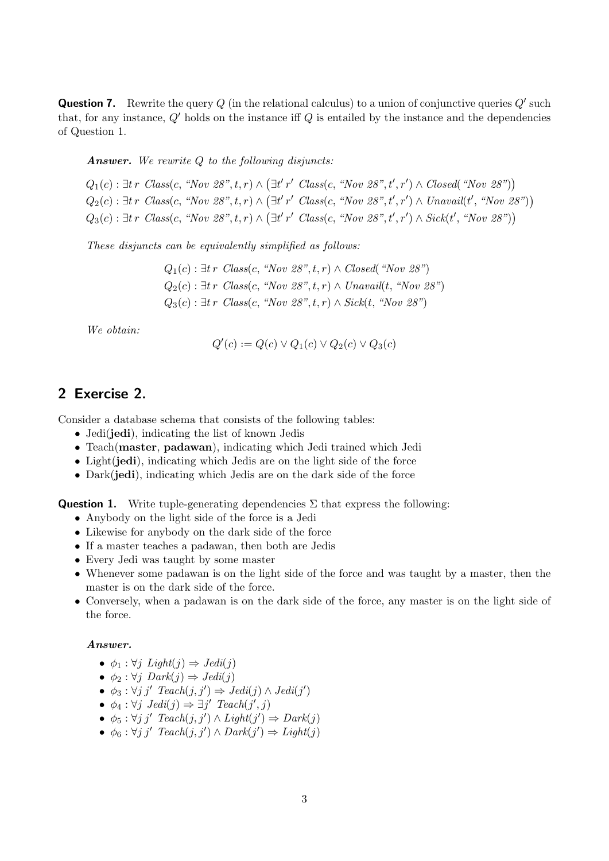**Question 7.** Rewrite the query  $Q$  (in the relational calculus) to a union of conjunctive queries  $Q'$  such that, for any instance,  $Q'$  holds on the instance iff  $Q$  is entailed by the instance and the dependencies of Question 1.

**Answer.** We rewrite  $Q$  to the following disjuncts:

 $Q_1(c)$ : ∃t r Class(c, "Nov 28", t, r)  $\wedge (\exists t'$ r' Class(c, "Nov 28", t', r')  $\wedge$  Closed( "Nov 28"))  $Q_2(c)$ : ∃t r Class(c, "Nov 28", t, r)  $\wedge$  (∃t' r' Class(c, "Nov 28", t', r')  $\wedge$  Unavail(t', "Nov 28"))  $Q_3(c)$ : ∃t r Class(c, "Nov 28", t, r)  $\wedge (\exists t' r'$  Class(c, "Nov 28", t', r')  $\wedge$  Sick(t', "Nov 28"))

These disjuncts can be equivalently simplified as follows:

 $Q_1(c)$ : ∃t r Class(c, "Nov 28", t, r)  $\land$  Closed( "Nov 28")  $Q_2(c)$ : ∃t r Class(c, "Nov 28", t, r)  $\land$  Unavail(t, "Nov 28")  $Q_3(c)$ : ∃t r Class(c, "Nov 28", t, r)  $\wedge$  Sick(t, "Nov 28")

We obtain:

$$
Q'(c) := Q(c) \vee Q_1(c) \vee Q_2(c) \vee Q_3(c)
$$

## 2 Exercise 2.

Consider a database schema that consists of the following tables:

- Jedi(jedi), indicating the list of known Jedis
- Teach(master, padawan), indicating which Jedi trained which Jedi
- Light(jedi), indicating which Jedis are on the light side of the force
- Dark(jedi), indicating which Jedis are on the dark side of the force

**Question 1.** Write tuple-generating dependencies  $\Sigma$  that express the following:

- Anybody on the light side of the force is a Jedi
- Likewise for anybody on the dark side of the force
- If a master teaches a padawan, then both are Jedis
- Every Jedi was taught by some master
- Whenever some padawan is on the light side of the force and was taught by a master, then the master is on the dark side of the force.
- Conversely, when a padawan is on the dark side of the force, any master is on the light side of the force.

#### Answer.

- $\phi_1 : \forall j \; Light(j) \Rightarrow Jedi(j)$
- $\phi_2 : \forall j \; Dark(j) \Rightarrow Jedi(j)$
- $\phi_3 : \forall j \ j' \text{} \text{Reach}(j, j') \Rightarrow \text{Jedi}(j) \land \text{Jedi}(j')$
- $\phi_4: \forall j \; Jedi(j) \Rightarrow \exists j' \; Teach(j', j)$
- $\phi_5 : \forall j \ j' \text{Teach}(j, j') \land Light(j') \Rightarrow Dark(j)$
- $\phi_6 : \forall j \ j'$  Teach $(j, j') \land \text{Dark}(j') \Rightarrow \text{Light}(j)$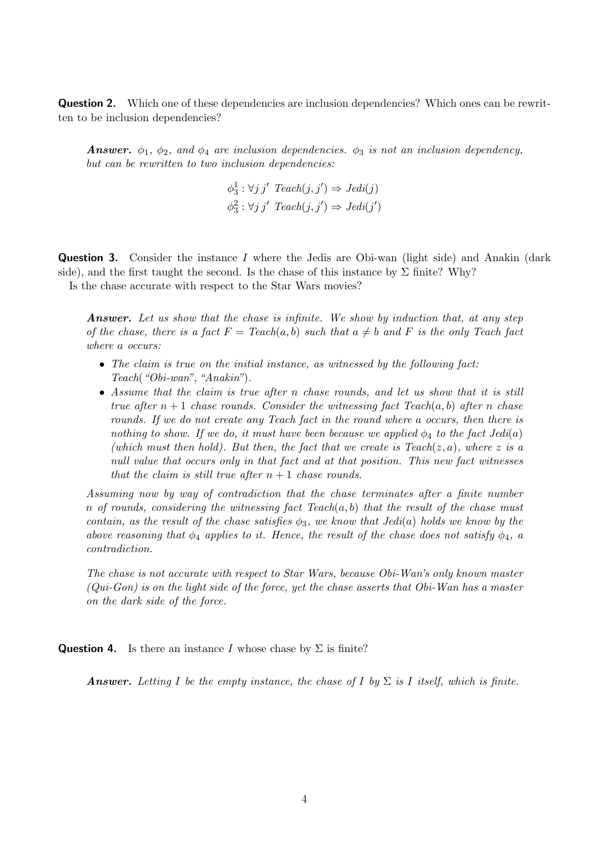**Question 2.** Which one of these dependencies are inclusion dependencies? Which ones can be rewritten to be inclusion dependencies?

**Answer.**  $\phi_1$ ,  $\phi_2$ , and  $\phi_4$  are inclusion dependencies.  $\phi_3$  is not an inclusion dependency, but can be rewritten to two inclusion dependencies:

$$
\phi_3^1 : \forall j \ j' \ \text{Teach}(j, j') \Rightarrow \text{Jedi}(j)
$$
  

$$
\phi_3^2 : \forall j \ j' \ \text{Teach}(j, j') \Rightarrow \text{Jedi}(j')
$$

**Question 3.** Consider the instance I where the Jedis are Obi-wan (light side) and Anakin (dark side), and the first taught the second. Is the chase of this instance by  $\Sigma$  finite? Why? Is the chase accurate with respect to the Star Wars movies?

**Answer.** Let us show that the chase is infinite. We show by induction that, at any step of the chase, there is a fact  $F = \text{Teach}(a, b)$  such that  $a \neq b$  and F is the only Teach fact where a occurs:

- The claim is true on the initial instance, as witnessed by the following fact: Teach("Obi-wan", "Anakin").
- Assume that the claim is true after n chase rounds, and let us show that it is still true after  $n+1$  chase rounds. Consider the witnessing fact Teach(a, b) after n chase rounds. If we do not create any Teach fact in the round where a occurs, then there is nothing to show. If we do, it must have been because we applied  $\phi_4$  to the fact Jedi(a) (which must then hold). But then, the fact that we create is  $Teach(z, a)$ , where z is a null value that occurs only in that fact and at that position. This new fact witnesses that the claim is still true after  $n + 1$  chase rounds.

Assuming now by way of contradiction that the chase terminates after a finite number n of rounds, considering the witnessing fact  $Teach(a, b)$  that the result of the chase must contain, as the result of the chase satisfies  $\phi_3$ , we know that Jedi(a) holds we know by the above reasoning that  $\phi_4$  applies to it. Hence, the result of the chase does not satisfy  $\phi_4$ , a contradiction.

The chase is not accurate with respect to Star Wars, because Obi-Wan's only known master  $(Qui-Gon)$  is on the light side of the force, yet the chase asserts that Obi-Wan has a master on the dark side of the force.

**Question 4.** Is there an instance I whose chase by  $\Sigma$  is finite?

**Answer.** Letting I be the empty instance, the chase of I by  $\Sigma$  is I itself, which is finite.